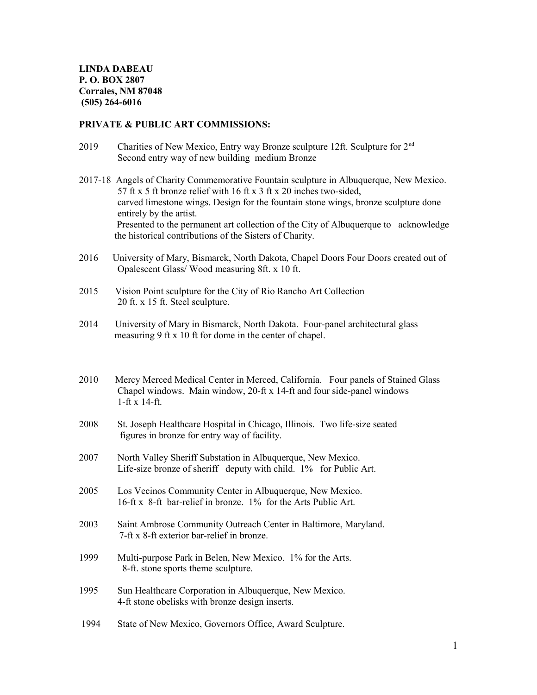### **PRIVATE & PUBLIC ART COMMISSIONS:**

- 2019 Charities of New Mexico, Entry way Bronze sculpture 12ft. Sculpture for 2nd Second entry way of new building medium Bronze
- 2017-18 Angels of Charity Commemorative Fountain sculpture in Albuquerque, New Mexico. 57 ft x 5 ft bronze relief with 16 ft x 3 ft x 20 inches two-sided, carved limestone wings. Design for the fountain stone wings, bronze sculpture done entirely by the artist. Presented to the permanent art collection of the City of Albuquerque to acknowledge the historical contributions of the Sisters of Charity.
- 2016 University of Mary, Bismarck, North Dakota, Chapel Doors Four Doors created out of Opalescent Glass/ Wood measuring 8ft. x 10 ft.
- 2015 Vision Point sculpture for the City of Rio Rancho Art Collection 20 ft. x 15 ft. Steel sculpture.
- 2014 University of Mary in Bismarck, North Dakota. Four-panel architectural glass measuring 9 ft x 10 ft for dome in the center of chapel.
- 2010 Mercy Merced Medical Center in Merced, California. Four panels of Stained Glass Chapel windows. Main window, 20-ft x 14-ft and four side-panel windows 1-ft x 14-ft.
- 2008 St. Joseph Healthcare Hospital in Chicago, Illinois. Two life-size seated figures in bronze for entry way of facility.
- 2007 North Valley Sheriff Substation in Albuquerque, New Mexico. Life-size bronze of sheriff deputy with child. 1% for Public Art.
- 2005 Los Vecinos Community Center in Albuquerque, New Mexico. 16-ft x 8-ft bar-relief in bronze. 1% for the Arts Public Art.
- 2003 Saint Ambrose Community Outreach Center in Baltimore, Maryland. 7-ft x 8-ft exterior bar-relief in bronze.
- 1999 Multi-purpose Park in Belen, New Mexico. 1% for the Arts. 8-ft. stone sports theme sculpture.
- 1995 Sun Healthcare Corporation in Albuquerque, New Mexico. 4-ft stone obelisks with bronze design inserts.
- 1994 State of New Mexico, Governors Office, Award Sculpture.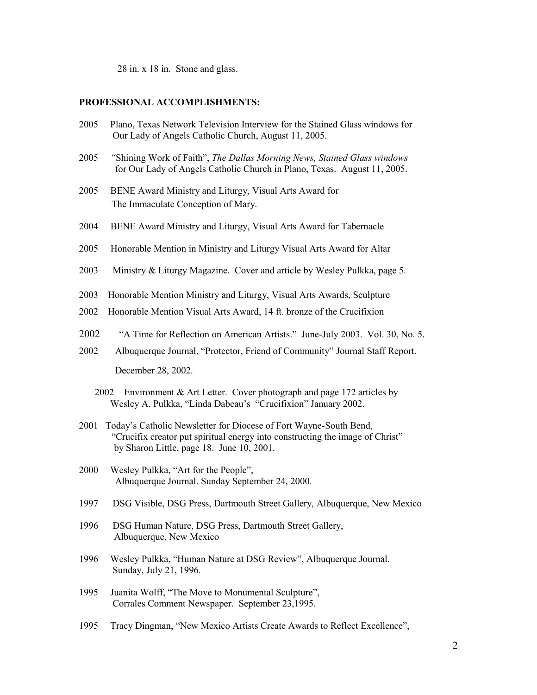28 in. x 18 in. Stone and glass.

## **PROFESSIONAL ACCOMPLISHMENTS:**

- 2005 Plano, Texas Network Television Interview for the Stained Glass windows for Our Lady of Angels Catholic Church, August 11, 2005.
- 2005 *"*Shining Work of Faith", *The Dallas Morning News, Stained Glass windows*  for Our Lady of Angels Catholic Church in Plano, Texas. August 11, 2005.
- 2005BENE Award Ministry and Liturgy, Visual Arts Award for The Immaculate Conception of Mary.
- 2004 BENE Award Ministry and Liturgy, Visual Arts Award for Tabernacle
- 2005 Honorable Mention in Ministry and Liturgy Visual Arts Award for Altar
- 2003 Ministry & Liturgy Magazine. Cover and article by Wesley Pulkka, page 5.
- 2003 Honorable Mention Ministry and Liturgy, Visual Arts Awards, Sculpture
- 2002 Honorable Mention Visual Arts Award, 14 ft. bronze of the Crucifixion
- 2002 "A Time for Reflection on American Artists." June-July 2003. Vol. 30, No. 5.
- 2002 Albuquerque Journal, "Protector, Friend of Community" Journal Staff Report. December 28, 2002.
	- 2002 Environment & Art Letter. Cover photograph and page 172 articles by Wesley A. Pulkka, "Linda Dabeau's "Crucifixion" January 2002.
- 2001 Today's Catholic Newsletter for Diocese of Fort Wayne-South Bend, "Crucifix creator put spiritual energy into constructing the image of Christ" by Sharon Little, page 18. June 10, 2001.
- 2000 Wesley Pulkka, "Art for the People", Albuquerque Journal. Sunday September 24, 2000.
- 1997 DSG Visible, DSG Press, Dartmouth Street Gallery, Albuquerque, New Mexico
- 1996 DSG Human Nature, DSG Press, Dartmouth Street Gallery, Albuquerque, New Mexico
- 1996 Wesley Pulkka, "Human Nature at DSG Review", Albuquerque Journal. Sunday, July 21, 1996.
- 1995 Juanita Wolff, "The Move to Monumental Sculpture", Corrales Comment Newspaper. September 23,1995.
- 1995 Tracy Dingman, "New Mexico Artists Create Awards to Reflect Excellence",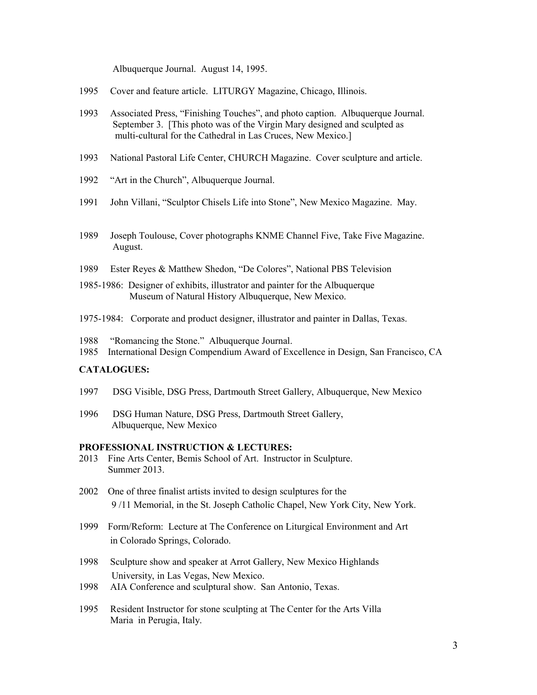Albuquerque Journal. August 14, 1995.

- 1995 Cover and feature article. LITURGY Magazine, Chicago, Illinois.
- 1993 Associated Press, "Finishing Touches", and photo caption. Albuquerque Journal. September 3. [This photo was of the Virgin Mary designed and sculpted as multi-cultural for the Cathedral in Las Cruces, New Mexico.]
- 1993 National Pastoral Life Center, CHURCH Magazine. Cover sculpture and article.
- 1992 "Art in the Church", Albuquerque Journal.
- 1991 John Villani, "Sculptor Chisels Life into Stone", New Mexico Magazine. May.
- 1989 Joseph Toulouse, Cover photographs KNME Channel Five, Take Five Magazine. August.
- 1989 Ester Reyes & Matthew Shedon, "De Colores", National PBS Television
- 1985-1986: Designer of exhibits, illustrator and painter for the Albuquerque Museum of Natural History Albuquerque, New Mexico.
- 1975-1984: Corporate and product designer, illustrator and painter in Dallas, Texas.

1988 "Romancing the Stone." Albuquerque Journal. 1985 International Design Compendium Award of Excellence in Design, San Francisco, CA

### **CATALOGUES:**

- 1997 DSG Visible, DSG Press, Dartmouth Street Gallery, Albuquerque, New Mexico
- 1996 DSG Human Nature, DSG Press, Dartmouth Street Gallery, Albuquerque, New Mexico

#### **PROFESSIONAL INSTRUCTION & LECTURES:**

- 2013 Fine Arts Center, Bemis School of Art. Instructor in Sculpture. Summer 2013.
- 2002 One of three finalist artists invited to design sculptures for the 9 /11 Memorial, in the St. Joseph Catholic Chapel, New York City, New York.
- 1999 Form/Reform: Lecture at The Conference on Liturgical Environment and Art in Colorado Springs, Colorado.
- 1998 Sculpture show and speaker at Arrot Gallery, New Mexico Highlands University, in Las Vegas, New Mexico.
- 1998 AIA Conference and sculptural show. San Antonio, Texas.
- 1995 Resident Instructor for stone sculpting at The Center for the Arts Villa Maria in Perugia, Italy.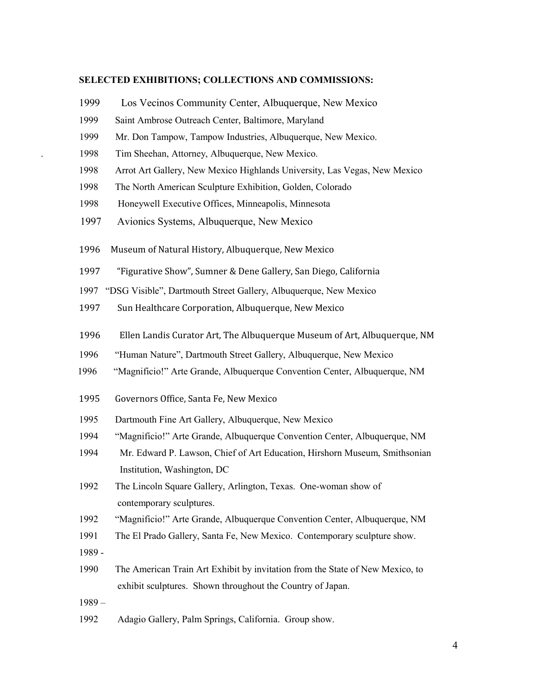## **SELECTED EXHIBITIONS; COLLECTIONS AND COMMISSIONS:**

- 1999 Los Vecinos Community Center, Albuquerque, New Mexico
- 1999 Saint Ambrose Outreach Center, Baltimore, Maryland
- 1999 Mr. Don Tampow, Tampow Industries, Albuquerque, New Mexico.
- . 1998 Tim Sheehan, Attorney, Albuquerque, New Mexico.
- 1998 Arrot Art Gallery, New Mexico Highlands University, Las Vegas, New Mexico
- 1998 The North American Sculpture Exhibition, Golden, Colorado
- 1998 Honeywell Executive Offices, Minneapolis, Minnesota
- 1997 Avionics Systems, Albuquerque, New Mexico
- 1996 Museum of Natural History, Albuquerque, New Mexico
- 1997 "Figurative Show", Sumner & Dene Gallery, San Diego, California
- 1997 "DSG Visible", Dartmouth Street Gallery, Albuquerque, New Mexico
- 1997 Sun Healthcare Corporation, Albuquerque, New Mexico
- 1996 Ellen Landis Curator Art, The Albuquerque Museum of Art, Albuquerque, NM
- 1996 "Human Nature", Dartmouth Street Gallery, Albuquerque, New Mexico
- 1996 "Magnificio!" Arte Grande, Albuquerque Convention Center, Albuquerque, NM
- 1995 Governors Office, Santa Fe, New Mexico
- 1995 Dartmouth Fine Art Gallery, Albuquerque, New Mexico
- 1994 "Magnificio!" Arte Grande, Albuquerque Convention Center, Albuquerque, NM
- 1994 Mr. Edward P. Lawson, Chief of Art Education, Hirshorn Museum, Smithsonian Institution, Washington, DC
- 1992 The Lincoln Square Gallery, Arlington, Texas. One-woman show of contemporary sculptures.
- 1992 "Magnificio!" Arte Grande, Albuquerque Convention Center, Albuquerque, NM
- 1991 The El Prado Gallery, Santa Fe, New Mexico. Contemporary sculpture show.
- 1989 -
- 1990 The American Train Art Exhibit by invitation from the State of New Mexico, to exhibit sculptures. Shown throughout the Country of Japan.
- 1989 –
- 1992 Adagio Gallery, Palm Springs, California. Group show.